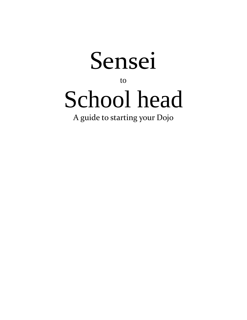

to

# School head

A guide to starting your Dojo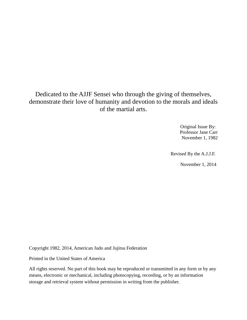### Dedicated to the AJJF Sensei who through the giving of themselves, demonstrate their love of humanity and devotion to the morals and ideals of the martial arts.

 Original Issue By: Professor Jane Carr November 1, 1982

Revised By the A.J.J.F.

November 1, 2014

Copyright 1982, 2014, American Judo and Jujitsu Federation

Printed in the United States of America

All rights reserved. No part of this book may be reproduced or transmitted in any form or by any means, electronic or mechanical, including photocopying, recording, or by an information storage and retrieval system without permission in writing from the publisher.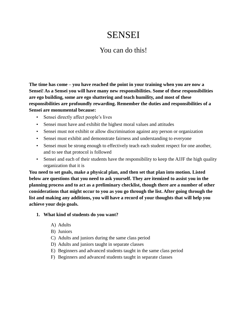# SENSEI

## You can do this!

**The time has come – you have reached the point in your training when you are now a Sensei! As a Sensei you will have many new responsibilities. Some of these responsibilities are ego building, some are ego shattering and teach humility, and most of these responsibilities are profoundly rewarding. Remember the duties and responsibilities of a Sensei are monumental because:**

- Sensei directly affect people's lives
- Sensei must have and exhibit the highest moral values and attitudes
- Sensei must not exhibit or allow discrimination against any person or organization
- Sensei must exhibit and demonstrate fairness and understanding to everyone
- Sensei must be strong enough to effectively teach each student respect for one another, and to see that protocol is followed
- Sensei and each of their students have the responsibility to keep the AJJF the high quality organization that it is

**You need to set goals, make a physical plan, and then set that plan into motion. Listed below are questions that you need to ask yourself. They are itemized to assist you in the planning process and to act as a preliminary checklist, though there are a number of other considerations that might occur to you as you go through the list. After going through the list and making any additions, you will have a record of your thoughts that will help you achieve your dojo goals.**

#### **1. What kind of students do you want?**

- A) Adults
- B) Juniors
- C) Adults and juniors during the same class period
- D) Adults and juniors taught in separate classes
- E) Beginners and advanced students taught in the same class period
- F) Beginners and advanced students taught in separate classes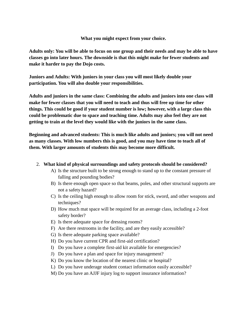**What you might expect from your choice.**

**Adults only: You will be able to focus on one group and their needs and may be able to have classes go into later hours. The downside is that this might make for fewer students and make it harder to pay the Dojo costs.**

**Juniors and Adults: With juniors in your class you will most likely double your participation. You will also double your responsibilities.**

**Adults and juniors in the same class: Combining the adults and juniors into one class will make for fewer classes that you will need to teach and thus will free up time for other things. This could be good if your student number is low; however, with a large class this could be problematic due to space and teaching time. Adults may also feel they are not getting to train at the level they would like with the juniors in the same class.**

**Beginning and advanced students: This is much like adults and juniors; you will not need as many classes. With low numbers this is good, and you may have time to teach all of them. With larger amounts of students this may become more difficult.**

#### 2. **What kind of physical surroundings and safety protocols should be considered?**

- A) Is the structure built to be strong enough to stand up to the constant pressure of falling and pounding bodies?
- B) Is there enough open space so that beams, poles, and other structural supports are not a safety hazard?
- C) Is the ceiling high enough to allow room for stick, sword, and other weapons and techniques?
- D) How much mat space will be required for an average class, including a 2-foot safety border?
- E) Is there adequate space for dressing rooms?
- F) Are there restrooms in the facility, and are they easily accessible?
- G) Is there adequate parking space available?
- H) Do you have current CPR and first-aid certification?
- I) Do you have a complete first-aid kit available for emergencies?
- J) Do you have a plan and space for injury management?
- K) Do you know the location of the nearest clinic or hospital?
- L) Do you have underage student contact information easily accessible?
- M) Do you have an AJJF injury log to support insurance information?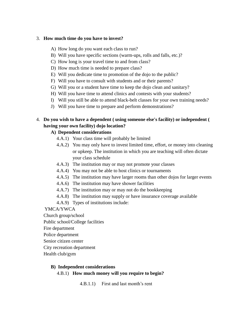#### 3. **How much time do you have to invest?**

- A) How long do you want each class to run?
- B) Will you have specific sections (warm-ups, rolls and falls, etc.)?
- C) How long is your travel time to and from class?
- D) How much time is needed to prepare class?
- E) Will you dedicate time to promotion of the dojo to the public?
- F) Will you have to consult with students and or their parents?
- G) Will you or a student have time to keep the dojo clean and sanitary?
- H) Will you have time to attend clinics and contests with your students?
- I) Will you still be able to attend black-belt classes for your own training needs?
- J) Will you have time to prepare and perform demonstrations?

#### 4. **Do you wish to have a dependent ( using someone else's facility) or independent ( having your own facility) dojo location?**

#### **A) Dependent considerations**

- 4.A.1) Your class time will probably be limited
- 4.A.2) You may only have to invest limited time, effort, or money into cleaning or upkeep. The institution in which you are teaching will often dictate your class schedule
- 4.A.3) The institution may or may not promote your classes
- 4.A.4) You may not be able to host clinics or tournaments
- 4.A.5) The institution may have larger rooms than other dojos for larger events
- 4.A.6) The institution may have shower facilities
- 4.A.7) The institution may or may not do the bookkeeping
- 4.A.8) The institution may supply or have insurance coverage available
- 4.A.9) Types of institutions include:

YMCA/YWCA

Church group/school

Public school/College facilities

- Fire department
- Police department
- Senior citizen center

City recreation department

Health club/gym

#### **B) Independent considerations**

4.B.1) **How much money will you require to begin?**

4.B.1.1) First and last month's rent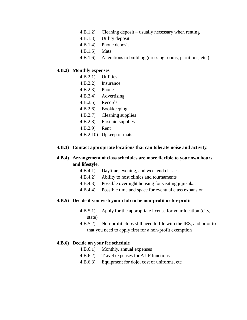- 4.B.1.2) Cleaning deposit usually necessary when renting
- 4.B.1.3) Utility deposit
- 4.B.1.4) Phone deposit
- 4.B.1.5) Mats
- 4.B.1.6) Alterations to building (dressing rooms, partitions, etc.)

#### **4.B.2) Monthly expenses**

- 4.B.2.1) Utilities
- 4.B.2.2) Insurance
- 4.B.2.3) Phone
- 4.B.2.4) Advertising
- 4.B.2.5) Records
- 4.B.2.6) Bookkeeping
- 4.B.2.7) Cleaning supplies
- 4.B.2.8) First aid supplies
- 4.B.2.9) Rent
- 4.B.2.10) Upkeep of mats

#### **4.B.3) Contact appropriate locations that can tolerate noise and activity.**

#### **4.B.4) Arrangement of class schedules are more flexible to your own hours and lifestyle.**

- 4.B.4.1) Daytime, evening, and weekend classes
- 4.B.4.2) Ability to host clinics and tournaments
- 4.B.4.3) Possible overnight housing for visiting jujitsuka.
- 4.B.4.4) Possible time and space for eventual class expansion

#### **4.B.5) Decide if you wish your club to be non-profit or for-profit**

- 4.B.5.1) Apply for the appropriate license for your location (city, state)
- 4.B.5.2) Non-profit clubs still need to file with the IRS, and prior to that you need to apply first for a non-profit exemption

#### **4.B.6) Decide on your fee schedule**

- 4.B.6.1) Monthly, annual expenses
- 4.B.6.2) Travel expenses for AJJF functions
- 4.B.6.3) Equipment for dojo, cost of uniforms, etc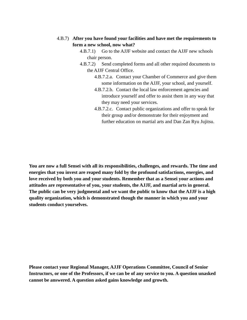#### 4.B.7) **After you have found your facilities and have met the requirements to form a new school, now what?**

- 4.B.7.1) Go to the AJJF website and contact the AJJF new schools chair person.
- 4.B.7.2) Send completed forms and all other required documents to the AJJF Central Office.
	- 4.B.7.2.a. Contact your Chamber of Commerce and give them some information on the AJJF, your school, and yourself.
	- 4.B.7.2.b. Contact the local law enforcement agencies and introduce yourself and offer to assist them in any way that they may need your services.
	- 4.B.7.2.c. Contact public organizations and offer to speak for their group and/or demonstrate for their enjoyment and further education on martial arts and Dan Zan Ryu Jujitsu.

**You are now a full Sensei with all its responsibilities, challenges, and rewards. The time and energies that you invest are reaped many fold by the profound satisfactions, energies, and love received by both you and your students. Remember that as a Sensei your actions and attitudes are representative of you, your students, the AJJF, and martial arts in general. The public can be very judgmental and we want the public to know that the AJJF is a high quality organization, which is demonstrated though the manner in which you and your students conduct yourselves.**

**Please contact your Regional Manager, AJJF Operations Committee, Council of Senior Instructors, or one of the Professors, if we can be of any service to you. A question unasked cannot be answered. A question asked gains knowledge and growth.**